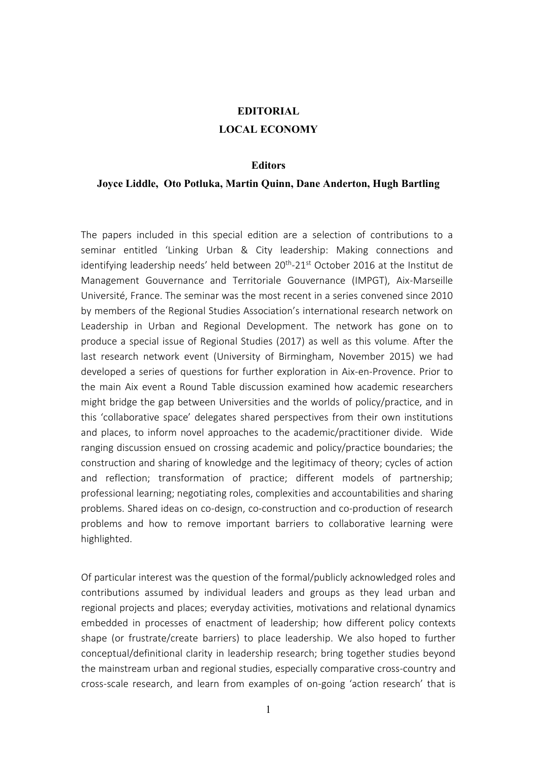## **EDITORIAL**

## **LOCAL ECONOMY**

## **Editors**

## **Joyce Liddle, Oto Potluka, Martin Quinn, Dane Anderton, Hugh Bartling**

The papers included in this special edition are a selection of contributions to a seminar entitled 'Linking Urban & City leadership: Making connections and identifying leadership needs' held between 20<sup>th</sup>-21<sup>st</sup> October 2016 at the Institut de Management Gouvernance and Territoriale Gouvernance (IMPGT), Aix-Marseille Université, France. The seminar was the most recent in a series convened since 2010 by members of the Regional Studies Association's international research network on Leadership in Urban and Regional Development. The network has gone on to produce a special issue of Regional Studies (2017) as well as this volume. After the last research network event (University of Birmingham, November 2015) we had developed a series of questions for further exploration in Aix-en-Provence. Prior to the main Aix event a Round Table discussion examined how academic researchers might bridge the gap between Universities and the worlds of policy/practice, and in this 'collaborative space' delegates shared perspectives from their own institutions and places, to inform novel approaches to the academic/practitioner divide. Wide ranging discussion ensued on crossing academic and policy/practice boundaries; the construction and sharing of knowledge and the legitimacy of theory; cycles of action and reflection; transformation of practice; different models of partnership; professional learning; negotiating roles, complexities and accountabilities and sharing problems. Shared ideas on co-design, co-construction and co-production of research problems and how to remove important barriers to collaborative learning were highlighted.

Of particular interest was the question of the formal/publicly acknowledged roles and contributions assumed by individual leaders and groups as they lead urban and regional projects and places; everyday activities, motivations and relational dynamics embedded in processes of enactment of leadership; how different policy contexts shape (or frustrate/create barriers) to place leadership. We also hoped to further conceptual/definitional clarity in leadership research; bring together studies beyond the mainstream urban and regional studies, especially comparative cross-country and cross-scale research, and learn from examples of on-going 'action research' that is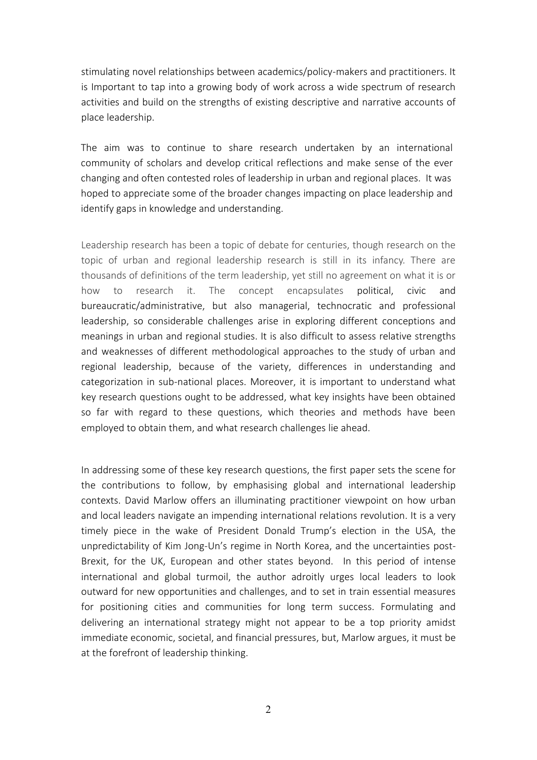stimulating novel relationships between academics/policy-makers and practitioners. It is Important to tap into a growing body of work across a wide spectrum of research activities and build on the strengths of existing descriptive and narrative accounts of place leadership.

The aim was to continue to share research undertaken by an international community of scholars and develop critical reflections and make sense of the ever changing and often contested roles of leadership in urban and regional places. It was hoped to appreciate some of the broader changes impacting on place leadership and identify gaps in knowledge and understanding.

Leadership research has been a topic of debate for centuries, though research on the topic of urban and regional leadership research is still in its infancy. There are thousands of definitions of the term leadership, yet still no agreement on what it is or how to research it. The concept encapsulates political, civic and bureaucratic/administrative, but also managerial, technocratic and professional leadership, so considerable challenges arise in exploring different conceptions and meanings in urban and regional studies. It is also difficult to assess relative strengths and weaknesses of different methodological approaches to the study of urban and regional leadership, because of the variety, differences in understanding and categorization in sub-national places. Moreover, it is important to understand what key research questions ought to be addressed, what key insights have been obtained so far with regard to these questions, which theories and methods have been employed to obtain them, and what research challenges lie ahead.

In addressing some of these key research questions, the first paper sets the scene for the contributions to follow, by emphasising global and international leadership contexts. David Marlow offers an illuminating practitioner viewpoint on how urban and local leaders navigate an impending international relations revolution. It is a very timely piece in the wake of President Donald Trump's election in the USA, the unpredictability of Kim Jong-Un's regime in North Korea, and the uncertainties post-Brexit, for the UK, European and other states beyond. In this period of intense international and global turmoil, the author adroitly urges local leaders to look outward for new opportunities and challenges, and to set in train essential measures for positioning cities and communities for long term success. Formulating and delivering an international strategy might not appear to be a top priority amidst immediate economic, societal, and financial pressures, but, Marlow argues, it must be at the forefront of leadership thinking.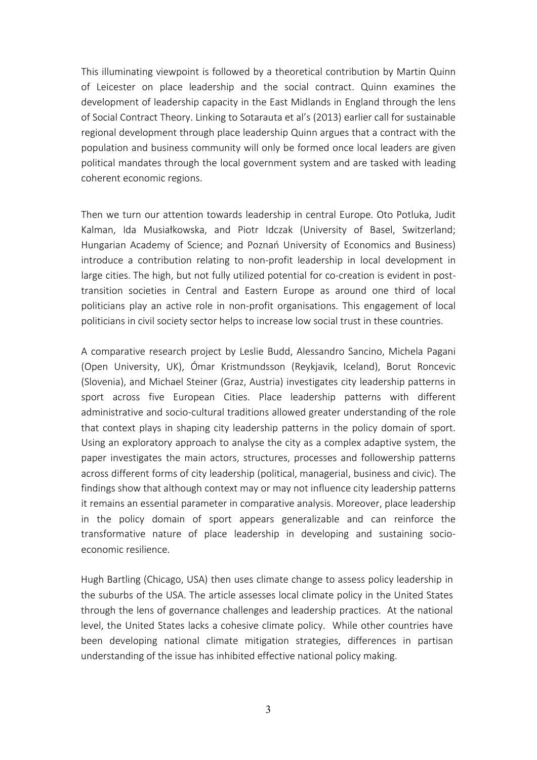This illuminating viewpoint is followed by a theoretical contribution by Martin Quinn of Leicester on place leadership and the social contract. Quinn examines the development of leadership capacity in the East Midlands in England through the lens of Social Contract Theory. Linking to Sotarauta et al's (2013) earlier call for sustainable regional development through place leadership Quinn argues that a contract with the population and business community will only be formed once local leaders are given political mandates through the local government system and are tasked with leading coherent economic regions.

Then we turn our attention towards leadership in central Europe. Oto Potluka, Judit Kalman, Ida Musiałkowska, and Piotr Idczak (University of Basel, Switzerland; Hungarian Academy of Science; and Poznań University of Economics and Business) introduce a contribution relating to non-profit leadership in local development in large cities. The high, but not fully utilized potential for co-creation is evident in posttransition societies in Central and Eastern Europe as around one third of local politicians play an active role in non-profit organisations. This engagement of local politicians in civil society sector helps to increase low social trust in these countries.

A comparative research project by Leslie Budd, Alessandro Sancino, Michela Pagani (Open University, UK), Ómar Kristmundsson (Reykjavik, Iceland), Borut Roncevic (Slovenia), and Michael Steiner (Graz, Austria) investigates city leadership patterns in sport across five European Cities. Place leadership patterns with different administrative and socio-cultural traditions allowed greater understanding of the role that context plays in shaping city leadership patterns in the policy domain of sport. Using an exploratory approach to analyse the city as a complex adaptive system, the paper investigates the main actors, structures, processes and followership patterns across different forms of city leadership (political, managerial, business and civic). The findings show that although context may or may not influence city leadership patterns it remains an essential parameter in comparative analysis. Moreover, place leadership in the policy domain of sport appears generalizable and can reinforce the transformative nature of place leadership in developing and sustaining socioeconomic resilience.

Hugh Bartling (Chicago, USA) then uses climate change to assess policy leadership in the suburbs of the USA. The article assesses local climate policy in the United States through the lens of governance challenges and leadership practices. At the national level, the United States lacks a cohesive climate policy. While other countries have been developing national climate mitigation strategies, differences in partisan understanding of the issue has inhibited effective national policy making.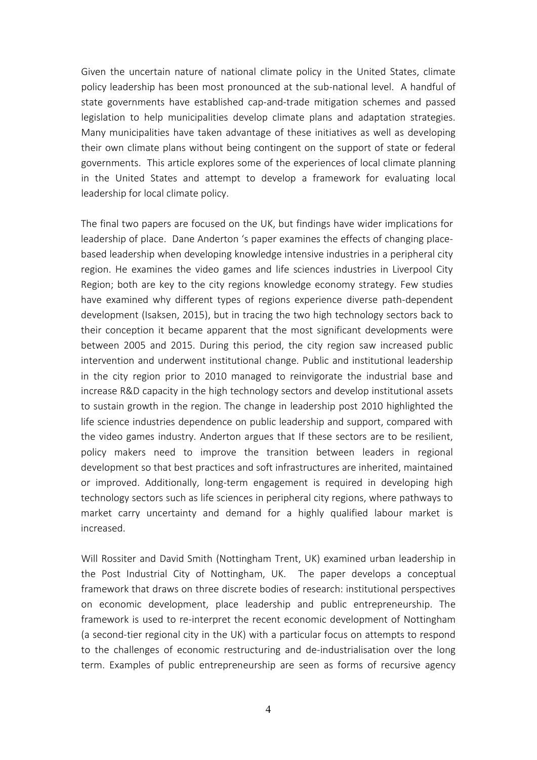Given the uncertain nature of national climate policy in the United States, climate policy leadership has been most pronounced at the sub-national level. A handful of state governments have established cap-and-trade mitigation schemes and passed legislation to help municipalities develop climate plans and adaptation strategies. Many municipalities have taken advantage of these initiatives as well as developing their own climate plans without being contingent on the support of state or federal governments. This article explores some of the experiences of local climate planning in the United States and attempt to develop a framework for evaluating local leadership for local climate policy.

The final two papers are focused on the UK, but findings have wider implications for leadership of place. Dane Anderton 's paper examines the effects of changing placebased leadership when developing knowledge intensive industries in a peripheral city region. He examines the video games and life sciences industries in Liverpool City Region; both are key to the city regions knowledge economy strategy. Few studies have examined why different types of regions experience diverse path-dependent development (Isaksen, 2015), but in tracing the two high technology sectors back to their conception it became apparent that the most significant developments were between 2005 and 2015. During this period, the city region saw increased public intervention and underwent institutional change. Public and institutional leadership in the city region prior to 2010 managed to reinvigorate the industrial base and increase R&D capacity in the high technology sectors and develop institutional assets to sustain growth in the region. The change in leadership post 2010 highlighted the life science industries dependence on public leadership and support, compared with the video games industry. Anderton argues that If these sectors are to be resilient, policy makers need to improve the transition between leaders in regional development so that best practices and soft infrastructures are inherited, maintained or improved. Additionally, long-term engagement is required in developing high technology sectors such as life sciences in peripheral city regions, where pathways to market carry uncertainty and demand for a highly qualified labour market is increased.

Will Rossiter and David Smith (Nottingham Trent, UK) examined urban leadership in the Post Industrial City of Nottingham, UK. The paper develops a conceptual framework that draws on three discrete bodies of research: institutional perspectives on economic development, place leadership and public entrepreneurship. The framework is used to re-interpret the recent economic development of Nottingham (a second-tier regional city in the UK) with a particular focus on attempts to respond to the challenges of economic restructuring and de-industrialisation over the long term. Examples of public entrepreneurship are seen as forms of recursive agency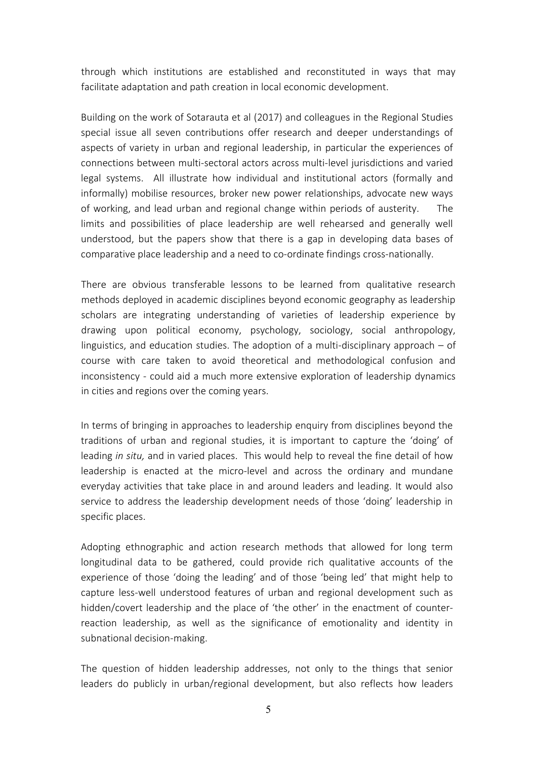through which institutions are established and reconstituted in ways that may facilitate adaptation and path creation in local economic development.

Building on the work of Sotarauta et al (2017) and colleagues in the Regional Studies special issue all seven contributions offer research and deeper understandings of aspects of variety in urban and regional leadership, in particular the experiences of connections between multi-sectoral actors across multi-level jurisdictions and varied legal systems. All illustrate how individual and institutional actors (formally and informally) mobilise resources, broker new power relationships, advocate new ways of working, and lead urban and regional change within periods of austerity. The limits and possibilities of place leadership are well rehearsed and generally well understood, but the papers show that there is a gap in developing data bases of comparative place leadership and a need to co-ordinate findings cross-nationally.

There are obvious transferable lessons to be learned from qualitative research methods deployed in academic disciplines beyond economic geography as leadership scholars are integrating understanding of varieties of leadership experience by drawing upon political economy, psychology, sociology, social anthropology, linguistics, and education studies. The adoption of a multi-disciplinary approach – of course with care taken to avoid theoretical and methodological confusion and inconsistency - could aid a much more extensive exploration of leadership dynamics in cities and regions over the coming years.

In terms of bringing in approaches to leadership enquiry from disciplines beyond the traditions of urban and regional studies, it is important to capture the 'doing' of leading *in situ,* and in varied places. This would help to reveal the fine detail of how leadership is enacted at the micro-level and across the ordinary and mundane everyday activities that take place in and around leaders and leading. It would also service to address the leadership development needs of those 'doing' leadership in specific places.

Adopting ethnographic and action research methods that allowed for long term longitudinal data to be gathered, could provide rich qualitative accounts of the experience of those 'doing the leading' and of those 'being led' that might help to capture less-well understood features of urban and regional development such as hidden/covert leadership and the place of 'the other' in the enactment of counterreaction leadership, as well as the significance of emotionality and identity in subnational decision-making.

The question of hidden leadership addresses, not only to the things that senior leaders do publicly in urban/regional development, but also reflects how leaders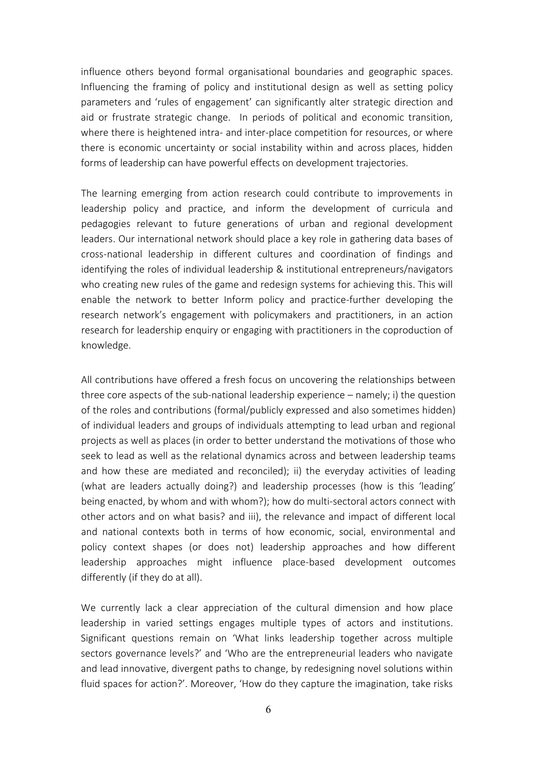influence others beyond formal organisational boundaries and geographic spaces. Influencing the framing of policy and institutional design as well as setting policy parameters and 'rules of engagement' can significantly alter strategic direction and aid or frustrate strategic change. In periods of political and economic transition, where there is heightened intra- and inter-place competition for resources, or where there is economic uncertainty or social instability within and across places, hidden forms of leadership can have powerful effects on development trajectories.

The learning emerging from action research could contribute to improvements in leadership policy and practice, and inform the development of curricula and pedagogies relevant to future generations of urban and regional development leaders. Our international network should place a key role in gathering data bases of cross-national leadership in different cultures and coordination of findings and identifying the roles of individual leadership & institutional entrepreneurs/navigators who creating new rules of the game and redesign systems for achieving this. This will enable the network to better Inform policy and practice-further developing the research network's engagement with policymakers and practitioners, in an action research for leadership enquiry or engaging with practitioners in the coproduction of knowledge.

All contributions have offered a fresh focus on uncovering the relationships between three core aspects of the sub-national leadership experience – namely; i) the question of the roles and contributions (formal/publicly expressed and also sometimes hidden) of individual leaders and groups of individuals attempting to lead urban and regional projects as well as places (in order to better understand the motivations of those who seek to lead as well as the relational dynamics across and between leadership teams and how these are mediated and reconciled); ii) the everyday activities of leading (what are leaders actually doing?) and leadership processes (how is this 'leading' being enacted, by whom and with whom?); how do multi-sectoral actors connect with other actors and on what basis? and iii), the relevance and impact of different local and national contexts both in terms of how economic, social, environmental and policy context shapes (or does not) leadership approaches and how different leadership approaches might influence place-based development outcomes differently (if they do at all).

We currently lack a clear appreciation of the cultural dimension and how place leadership in varied settings engages multiple types of actors and institutions. Significant questions remain on 'What links leadership together across multiple sectors governance levels?' and 'Who are the entrepreneurial leaders who navigate and lead innovative, divergent paths to change, by redesigning novel solutions within fluid spaces for action?'. Moreover, 'How do they capture the imagination, take risks